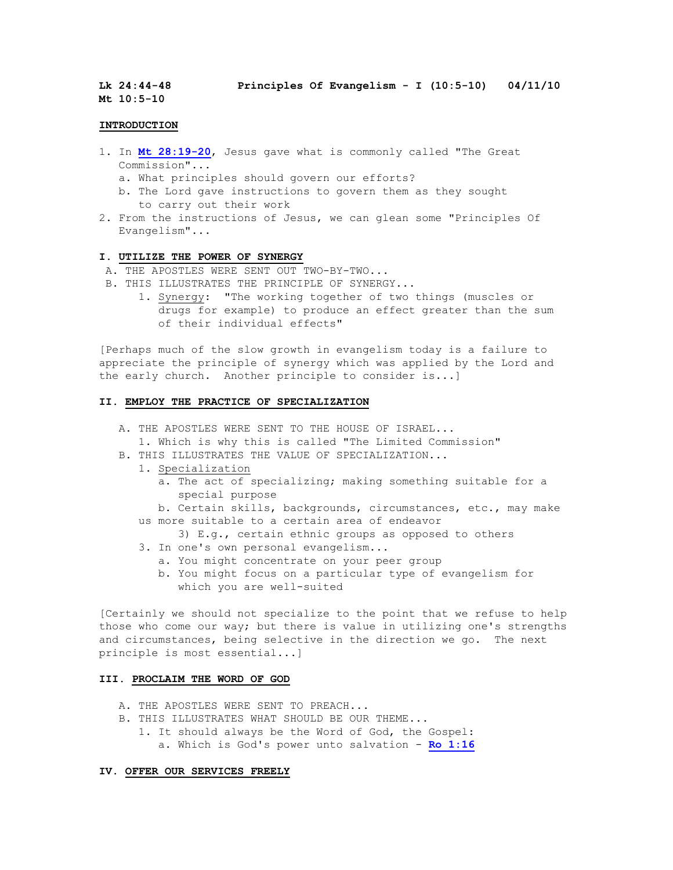**Lk 24:44-48 Principles Of Evangelism - I (10:5-10) 04/11/10**

**Mt 10:5-10**

### **INTRODUCTION**

- 1. In **[Mt 28:19-20](http://bible.logos.com/passage/nkjv/Mt%2028.19-20)**, Jesus gave what is commonly called "The Great Commission"...
	- a. What principles should govern our efforts?
	- b. The Lord gave instructions to govern them as they sought to carry out their work
- 2. From the instructions of Jesus, we can glean some "Principles Of Evangelism"...

### **I. UTILIZE THE POWER OF SYNERGY**

- A. THE APOSTLES WERE SENT OUT TWO-BY-TWO...
- B. THIS ILLUSTRATES THE PRINCIPLE OF SYNERGY...
	- 1. Synergy: "The working together of two things (muscles or drugs for example) to produce an effect greater than the sum of their individual effects"

[Perhaps much of the slow growth in evangelism today is a failure to appreciate the principle of synergy which was applied by the Lord and the early church. Another principle to consider is...]

## **II. EMPLOY THE PRACTICE OF SPECIALIZATION**

- A. THE APOSTLES WERE SENT TO THE HOUSE OF ISRAEL...
	- 1. Which is why this is called "The Limited Commission"
- B. THIS ILLUSTRATES THE VALUE OF SPECIALIZATION...
	- 1. Specialization
		- a. The act of specializing; making something suitable for a special purpose
		- b. Certain skills, backgrounds, circumstances, etc., may make us more suitable to a certain area of endeavor
			- 3) E.g., certain ethnic groups as opposed to others
		- 3. In one's own personal evangelism...
			- a. You might concentrate on your peer group
			- b. You might focus on a particular type of evangelism for which you are well-suited

[Certainly we should not specialize to the point that we refuse to help those who come our way; but there is value in utilizing one's strengths and circumstances, being selective in the direction we go. The next principle is most essential...]

# **III. PROCLAIM THE WORD OF GOD**

- A. THE APOSTLES WERE SENT TO PREACH...
- B. THIS ILLUSTRATES WHAT SHOULD BE OUR THEME...
	- 1. It should always be the Word of God, the Gospel: a. Which is God's power unto salvation - **[Ro 1:16](http://bible.logos.com/passage/nkjv/Ro%201.16)**

### **IV. OFFER OUR SERVICES FREELY**